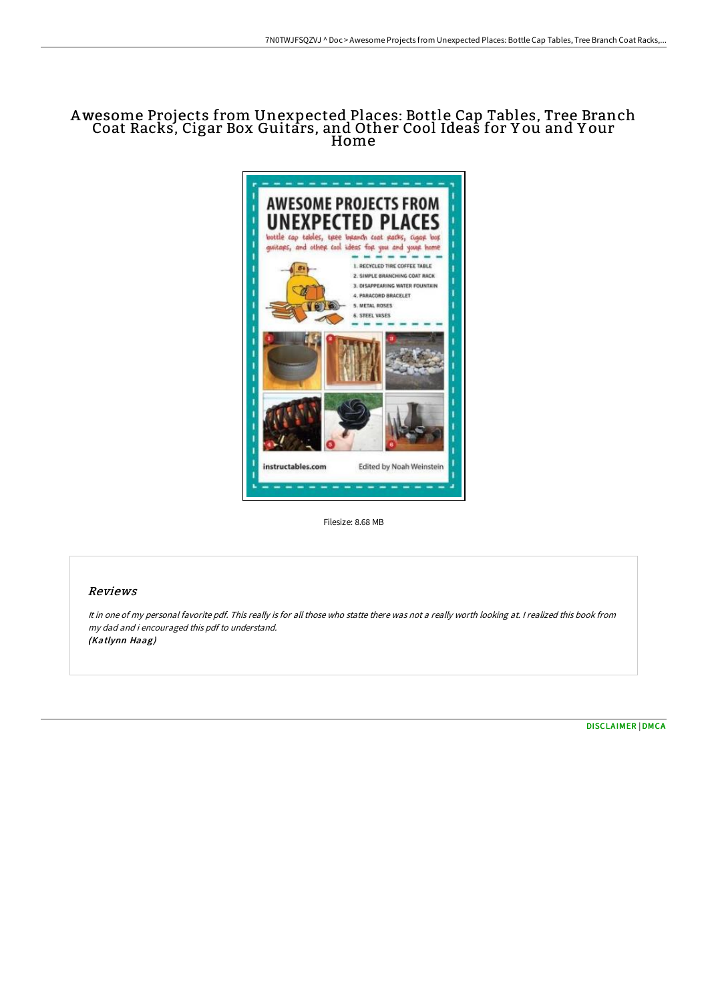## Awesome Projects from Unexpected Places: Bottle Cap Tables, Tree Branch Coat Racks, Cigar Box Guitars, and Other Cool Ideas for Y ou and Y our Home



Filesize: 8.68 MB

## Reviews

It in one of my personal favorite pdf. This really is for all those who statte there was not <sup>a</sup> really worth looking at. <sup>I</sup> realized this book from my dad and i encouraged this pdf to understand. (Katlynn Haag)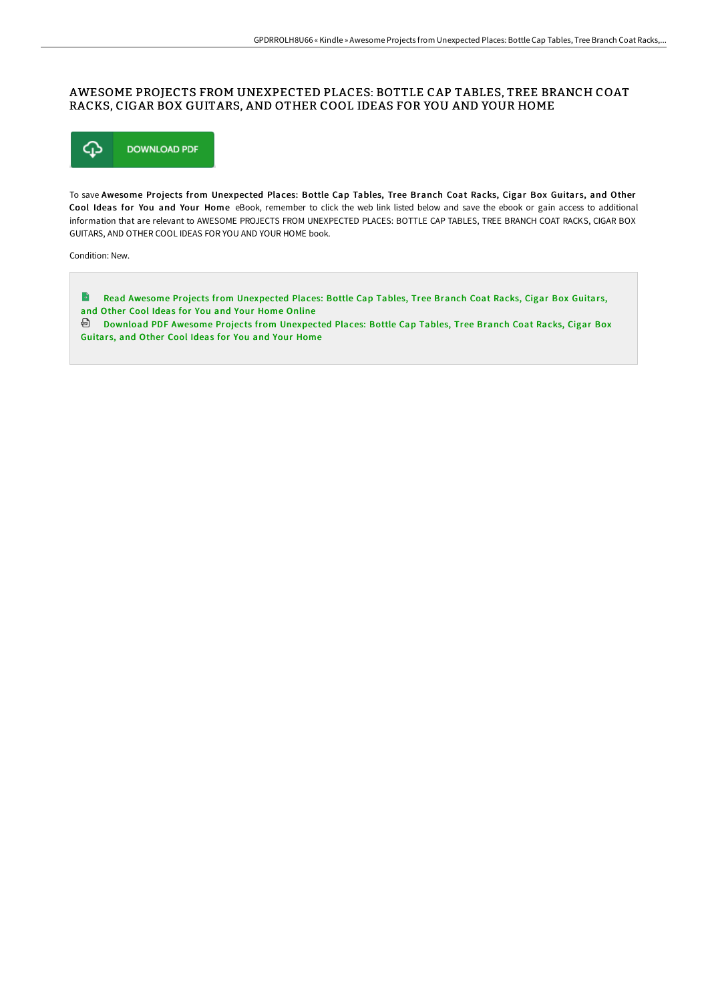## AWESOME PROJECTS FROM UNEXPECTED PLACES: BOTTLE CAP TABLES, TREE BRANCH COAT RACKS, CIGAR BOX GUITARS, AND OTHER COOL IDEAS FOR YOU AND YOUR HOME



To save Awesome Projects from Unexpected Places: Bottle Cap Tables, Tree Branch Coat Racks, Cigar Box Guitars, and Other Cool Ideas for You and Your Home eBook, remember to click the web link listed below and save the ebook or gain access to additional information that are relevant to AWESOME PROJECTS FROM UNEXPECTED PLACES: BOTTLE CAP TABLES, TREE BRANCH COAT RACKS, CIGAR BOX GUITARS, AND OTHER COOL IDEAS FOR YOU AND YOUR HOME book.

Condition: New.